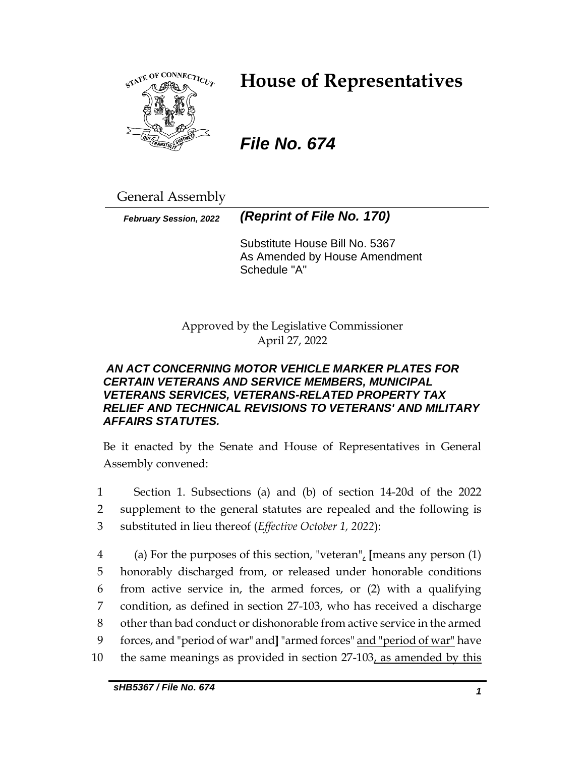

# **House of Representatives**

# *File No. 674*

General Assembly

*February Session, 2022 (Reprint of File No. 170)*

Substitute House Bill No. 5367 As Amended by House Amendment Schedule "A"

Approved by the Legislative Commissioner April 27, 2022

## *AN ACT CONCERNING MOTOR VEHICLE MARKER PLATES FOR CERTAIN VETERANS AND SERVICE MEMBERS, MUNICIPAL VETERANS SERVICES, VETERANS-RELATED PROPERTY TAX RELIEF AND TECHNICAL REVISIONS TO VETERANS' AND MILITARY AFFAIRS STATUTES.*

Be it enacted by the Senate and House of Representatives in General Assembly convened:

1 Section 1. Subsections (a) and (b) of section 14-20d of the 2022 2 supplement to the general statutes are repealed and the following is 3 substituted in lieu thereof (*Effective October 1, 2022*):

 (a) For the purposes of this section, "veteran", **[**means any person (1) honorably discharged from, or released under honorable conditions from active service in, the armed forces, or (2) with a qualifying condition, as defined in section 27-103, who has received a discharge other than bad conduct or dishonorable from active service in the armed forces, and "period of war" and**]** "armed forces" and "period of war" have 10 the same meanings as provided in section 27-103, as amended by this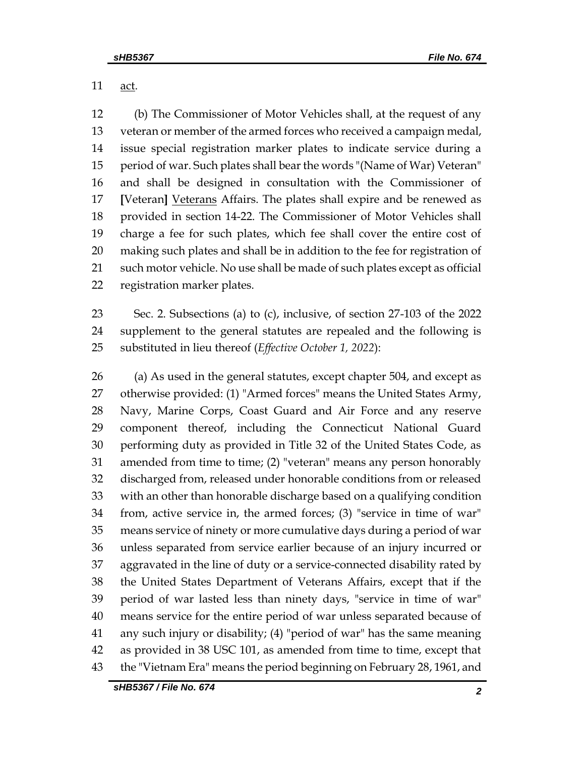11 <u>act</u>.

 (b) The Commissioner of Motor Vehicles shall, at the request of any veteran or member of the armed forces who received a campaign medal, issue special registration marker plates to indicate service during a period of war. Such plates shall bear the words "(Name of War) Veteran" and shall be designed in consultation with the Commissioner of **[**Veteran**]** Veterans Affairs. The plates shall expire and be renewed as provided in section 14-22. The Commissioner of Motor Vehicles shall charge a fee for such plates, which fee shall cover the entire cost of making such plates and shall be in addition to the fee for registration of such motor vehicle. No use shall be made of such plates except as official registration marker plates.

 Sec. 2. Subsections (a) to (c), inclusive, of section 27-103 of the 2022 supplement to the general statutes are repealed and the following is substituted in lieu thereof (*Effective October 1, 2022*):

 (a) As used in the general statutes, except chapter 504, and except as otherwise provided: (1) "Armed forces" means the United States Army, Navy, Marine Corps, Coast Guard and Air Force and any reserve component thereof, including the Connecticut National Guard performing duty as provided in Title 32 of the United States Code, as amended from time to time; (2) "veteran" means any person honorably discharged from, released under honorable conditions from or released with an other than honorable discharge based on a qualifying condition from, active service in, the armed forces; (3) "service in time of war" means service of ninety or more cumulative days during a period of war unless separated from service earlier because of an injury incurred or aggravated in the line of duty or a service-connected disability rated by the United States Department of Veterans Affairs, except that if the period of war lasted less than ninety days, "service in time of war" means service for the entire period of war unless separated because of any such injury or disability; (4) "period of war" has the same meaning as provided in 38 USC 101, as amended from time to time, except that the "Vietnam Era" means the period beginning on February 28, 1961, and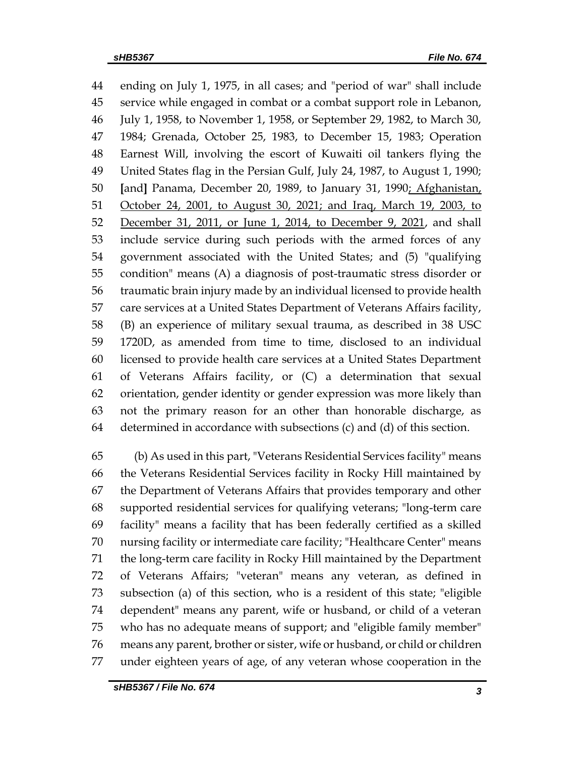ending on July 1, 1975, in all cases; and "period of war" shall include service while engaged in combat or a combat support role in Lebanon, July 1, 1958, to November 1, 1958, or September 29, 1982, to March 30, 1984; Grenada, October 25, 1983, to December 15, 1983; Operation Earnest Will, involving the escort of Kuwaiti oil tankers flying the United States flag in the Persian Gulf, July 24, 1987, to August 1, 1990; **[**and**]** Panama, December 20, 1989, to January 31, 1990; Afghanistan, 51 October 24, 2001, to August 30, 2021; and Iraq, March 19, 2003, to December 31, 2011, or June 1, 2014, to December 9, 2021, and shall include service during such periods with the armed forces of any government associated with the United States; and (5) "qualifying condition" means (A) a diagnosis of post-traumatic stress disorder or traumatic brain injury made by an individual licensed to provide health care services at a United States Department of Veterans Affairs facility, (B) an experience of military sexual trauma, as described in 38 USC 1720D, as amended from time to time, disclosed to an individual licensed to provide health care services at a United States Department of Veterans Affairs facility, or (C) a determination that sexual orientation, gender identity or gender expression was more likely than not the primary reason for an other than honorable discharge, as determined in accordance with subsections (c) and (d) of this section.

 (b) As used in this part, "Veterans Residential Services facility" means the Veterans Residential Services facility in Rocky Hill maintained by the Department of Veterans Affairs that provides temporary and other supported residential services for qualifying veterans; "long-term care facility" means a facility that has been federally certified as a skilled nursing facility or intermediate care facility; "Healthcare Center" means the long-term care facility in Rocky Hill maintained by the Department of Veterans Affairs; "veteran" means any veteran, as defined in subsection (a) of this section, who is a resident of this state; "eligible dependent" means any parent, wife or husband, or child of a veteran who has no adequate means of support; and "eligible family member" means any parent, brother or sister, wife or husband, or child or children under eighteen years of age, of any veteran whose cooperation in the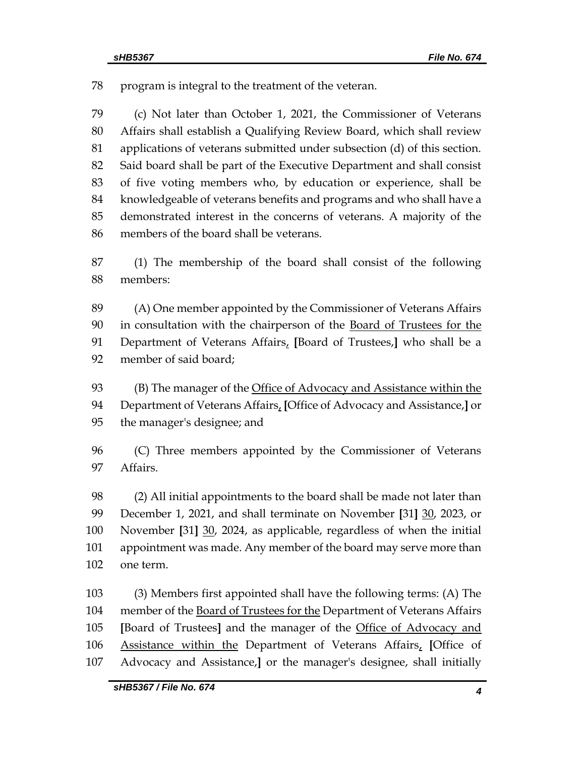program is integral to the treatment of the veteran.

 (c) Not later than October 1, 2021, the Commissioner of Veterans Affairs shall establish a Qualifying Review Board, which shall review applications of veterans submitted under subsection (d) of this section. Said board shall be part of the Executive Department and shall consist of five voting members who, by education or experience, shall be knowledgeable of veterans benefits and programs and who shall have a demonstrated interest in the concerns of veterans. A majority of the members of the board shall be veterans.

 (1) The membership of the board shall consist of the following members:

 (A) One member appointed by the Commissioner of Veterans Affairs 90 in consultation with the chairperson of the Board of Trustees for the Department of Veterans Affairs, **[**Board of Trustees,**]** who shall be a member of said board;

93 (B) The manager of the Office of Advocacy and Assistance within the Department of Veterans Affairs, **[**Office of Advocacy and Assistance,**]** or the manager's designee; and

 (C) Three members appointed by the Commissioner of Veterans Affairs.

 (2) All initial appointments to the board shall be made not later than December 1, 2021, and shall terminate on November **[**31**]** 30, 2023, or November **[**31**]** 30, 2024, as applicable, regardless of when the initial appointment was made. Any member of the board may serve more than one term.

 (3) Members first appointed shall have the following terms: (A) The member of the Board of Trustees for the Department of Veterans Affairs **[**Board of Trustees**]** and the manager of the Office of Advocacy and Assistance within the Department of Veterans Affairs, **[**Office of Advocacy and Assistance,**]** or the manager's designee, shall initially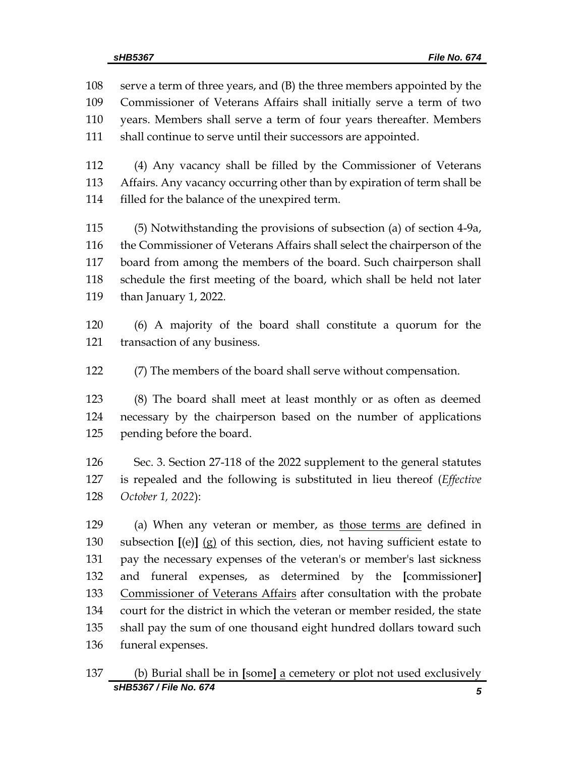serve a term of three years, and (B) the three members appointed by the Commissioner of Veterans Affairs shall initially serve a term of two years. Members shall serve a term of four years thereafter. Members shall continue to serve until their successors are appointed.

 (4) Any vacancy shall be filled by the Commissioner of Veterans Affairs. Any vacancy occurring other than by expiration of term shall be filled for the balance of the unexpired term.

 (5) Notwithstanding the provisions of subsection (a) of section 4-9a, the Commissioner of Veterans Affairs shall select the chairperson of the board from among the members of the board. Such chairperson shall schedule the first meeting of the board, which shall be held not later than January 1, 2022.

 (6) A majority of the board shall constitute a quorum for the transaction of any business.

(7) The members of the board shall serve without compensation.

 (8) The board shall meet at least monthly or as often as deemed necessary by the chairperson based on the number of applications pending before the board.

 Sec. 3. Section 27-118 of the 2022 supplement to the general statutes is repealed and the following is substituted in lieu thereof (*Effective October 1, 2022*):

 (a) When any veteran or member, as those terms are defined in subsection **[**(e)**]** (g) of this section, dies, not having sufficient estate to pay the necessary expenses of the veteran's or member's last sickness and funeral expenses, as determined by the **[**commissioner**]** Commissioner of Veterans Affairs after consultation with the probate court for the district in which the veteran or member resided, the state shall pay the sum of one thousand eight hundred dollars toward such funeral expenses.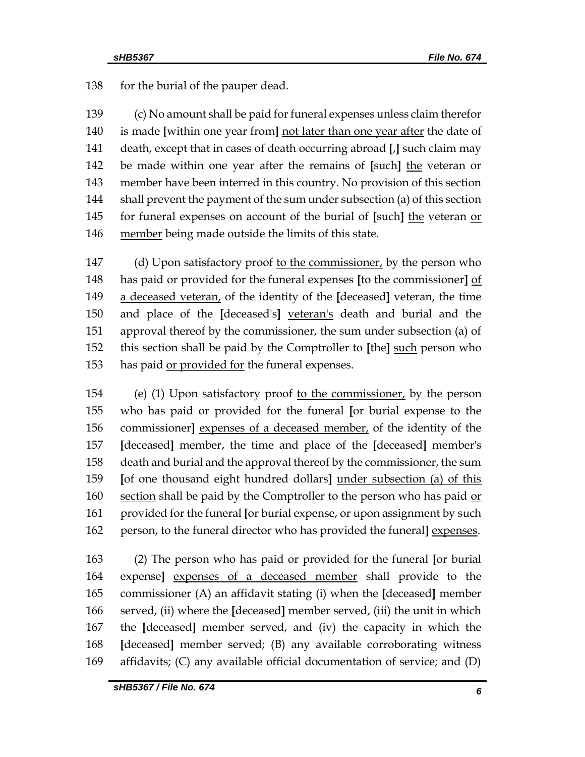138 for the burial of the pauper dead.

 (c) No amount shall be paid for funeral expenses unless claim therefor is made **[**within one year from**]** not later than one year after the date of death, except that in cases of death occurring abroad **[**,**]** such claim may be made within one year after the remains of **[**such**]** the veteran or member have been interred in this country. No provision of this section shall prevent the payment of the sum under subsection (a) of this section for funeral expenses on account of the burial of **[**such**]** the veteran or 146 member being made outside the limits of this state.

147 (d) Upon satisfactory proof to the commissioner, by the person who has paid or provided for the funeral expenses **[**to the commissioner**]** of a deceased veteran, of the identity of the **[**deceased**]** veteran, the time and place of the **[**deceased's**]** veteran's death and burial and the approval thereof by the commissioner, the sum under subsection (a) of this section shall be paid by the Comptroller to **[**the**]** such person who 153 has paid or provided for the funeral expenses.

 (e) (1) Upon satisfactory proof to the commissioner, by the person who has paid or provided for the funeral **[**or burial expense to the commissioner**]** expenses of a deceased member, of the identity of the **[**deceased**]** member, the time and place of the **[**deceased**]** member's death and burial and the approval thereof by the commissioner, the sum **[**of one thousand eight hundred dollars**]** under subsection (a) of this 160 section shall be paid by the Comptroller to the person who has paid  $or$  provided for the funeral **[**or burial expense, or upon assignment by such 162 person, to the funeral director who has provided the funeral] expenses.

 (2) The person who has paid or provided for the funeral **[**or burial expense**]** expenses of a deceased member shall provide to the commissioner (A) an affidavit stating (i) when the **[**deceased**]** member served, (ii) where the **[**deceased**]** member served, (iii) the unit in which the **[**deceased**]** member served, and (iv) the capacity in which the **[**deceased**]** member served; (B) any available corroborating witness affidavits; (C) any available official documentation of service; and (D)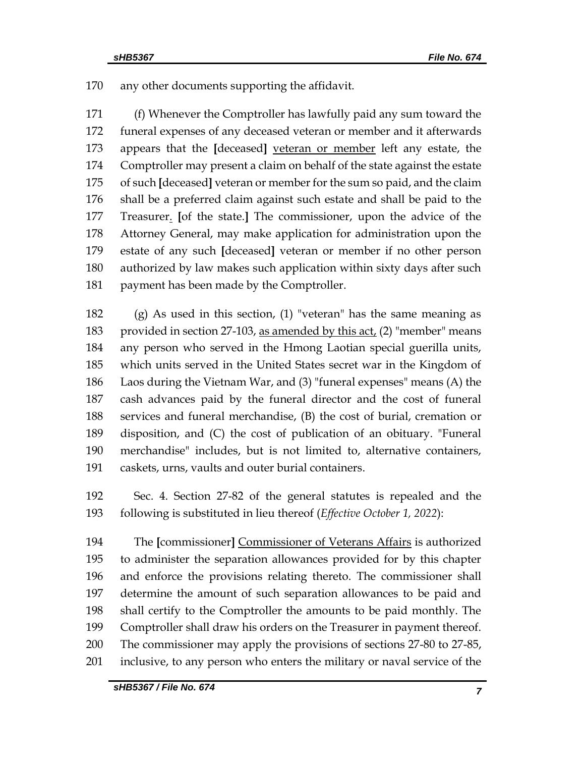any other documents supporting the affidavit.

 (f) Whenever the Comptroller has lawfully paid any sum toward the funeral expenses of any deceased veteran or member and it afterwards appears that the **[**deceased**]** veteran or member left any estate, the Comptroller may present a claim on behalf of the state against the estate of such **[**deceased**]** veteran or member for the sum so paid, and the claim shall be a preferred claim against such estate and shall be paid to the Treasurer. **[**of the state.**]** The commissioner, upon the advice of the Attorney General, may make application for administration upon the estate of any such **[**deceased**]** veteran or member if no other person authorized by law makes such application within sixty days after such 181 payment has been made by the Comptroller.

 (g) As used in this section, (1) "veteran" has the same meaning as provided in section 27-103, as amended by this act, (2) "member" means any person who served in the Hmong Laotian special guerilla units, which units served in the United States secret war in the Kingdom of Laos during the Vietnam War, and (3) "funeral expenses" means (A) the cash advances paid by the funeral director and the cost of funeral services and funeral merchandise, (B) the cost of burial, cremation or disposition, and (C) the cost of publication of an obituary. "Funeral merchandise" includes, but is not limited to, alternative containers, caskets, urns, vaults and outer burial containers.

 Sec. 4. Section 27-82 of the general statutes is repealed and the following is substituted in lieu thereof (*Effective October 1, 2022*):

 The **[**commissioner**]** Commissioner of Veterans Affairs is authorized to administer the separation allowances provided for by this chapter and enforce the provisions relating thereto. The commissioner shall determine the amount of such separation allowances to be paid and shall certify to the Comptroller the amounts to be paid monthly. The Comptroller shall draw his orders on the Treasurer in payment thereof. The commissioner may apply the provisions of sections 27-80 to 27-85, inclusive, to any person who enters the military or naval service of the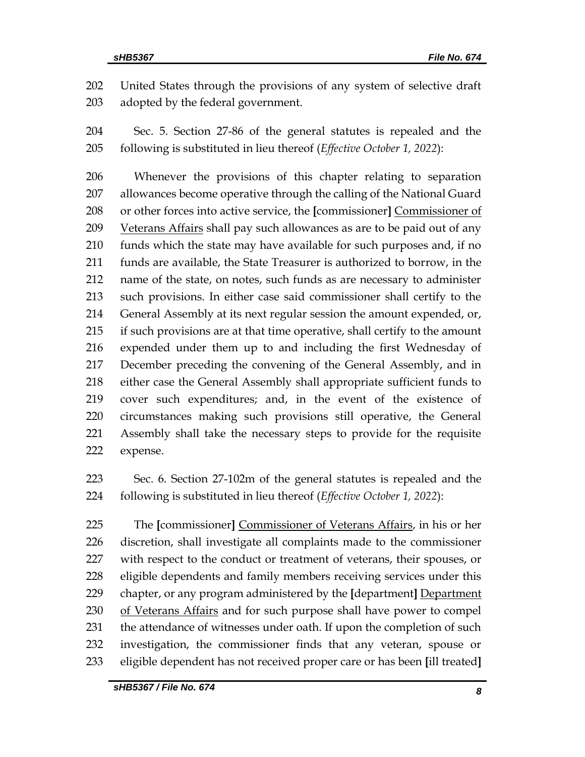United States through the provisions of any system of selective draft adopted by the federal government.

 Sec. 5. Section 27-86 of the general statutes is repealed and the following is substituted in lieu thereof (*Effective October 1, 2022*):

 Whenever the provisions of this chapter relating to separation allowances become operative through the calling of the National Guard or other forces into active service, the **[**commissioner**]** Commissioner of 209 Veterans Affairs shall pay such allowances as are to be paid out of any funds which the state may have available for such purposes and, if no funds are available, the State Treasurer is authorized to borrow, in the name of the state, on notes, such funds as are necessary to administer such provisions. In either case said commissioner shall certify to the General Assembly at its next regular session the amount expended, or, if such provisions are at that time operative, shall certify to the amount expended under them up to and including the first Wednesday of December preceding the convening of the General Assembly, and in either case the General Assembly shall appropriate sufficient funds to cover such expenditures; and, in the event of the existence of circumstances making such provisions still operative, the General Assembly shall take the necessary steps to provide for the requisite expense.

 Sec. 6. Section 27-102m of the general statutes is repealed and the following is substituted in lieu thereof (*Effective October 1, 2022*):

 The **[**commissioner**]** Commissioner of Veterans Affairs, in his or her discretion, shall investigate all complaints made to the commissioner with respect to the conduct or treatment of veterans, their spouses, or eligible dependents and family members receiving services under this chapter, or any program administered by the **[**department**]** Department of Veterans Affairs and for such purpose shall have power to compel 231 the attendance of witnesses under oath. If upon the completion of such investigation, the commissioner finds that any veteran, spouse or eligible dependent has not received proper care or has been **[**ill treated**]**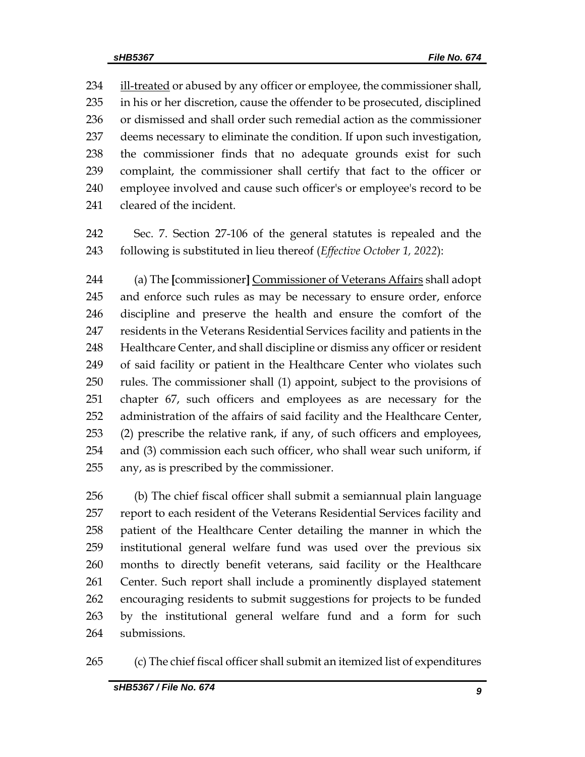234 ill-treated or abused by any officer or employee, the commissioner shall, in his or her discretion, cause the offender to be prosecuted, disciplined or dismissed and shall order such remedial action as the commissioner deems necessary to eliminate the condition. If upon such investigation, the commissioner finds that no adequate grounds exist for such complaint, the commissioner shall certify that fact to the officer or employee involved and cause such officer's or employee's record to be cleared of the incident.

 Sec. 7. Section 27-106 of the general statutes is repealed and the following is substituted in lieu thereof (*Effective October 1, 2022*):

 (a) The **[**commissioner**]** Commissioner of Veterans Affairs shall adopt and enforce such rules as may be necessary to ensure order, enforce discipline and preserve the health and ensure the comfort of the residents in the Veterans Residential Services facility and patients in the Healthcare Center, and shall discipline or dismiss any officer or resident of said facility or patient in the Healthcare Center who violates such rules. The commissioner shall (1) appoint, subject to the provisions of chapter 67, such officers and employees as are necessary for the administration of the affairs of said facility and the Healthcare Center, (2) prescribe the relative rank, if any, of such officers and employees, and (3) commission each such officer, who shall wear such uniform, if any, as is prescribed by the commissioner.

 (b) The chief fiscal officer shall submit a semiannual plain language report to each resident of the Veterans Residential Services facility and patient of the Healthcare Center detailing the manner in which the institutional general welfare fund was used over the previous six months to directly benefit veterans, said facility or the Healthcare Center. Such report shall include a prominently displayed statement encouraging residents to submit suggestions for projects to be funded by the institutional general welfare fund and a form for such submissions.

(c) The chief fiscal officer shall submit an itemized list of expenditures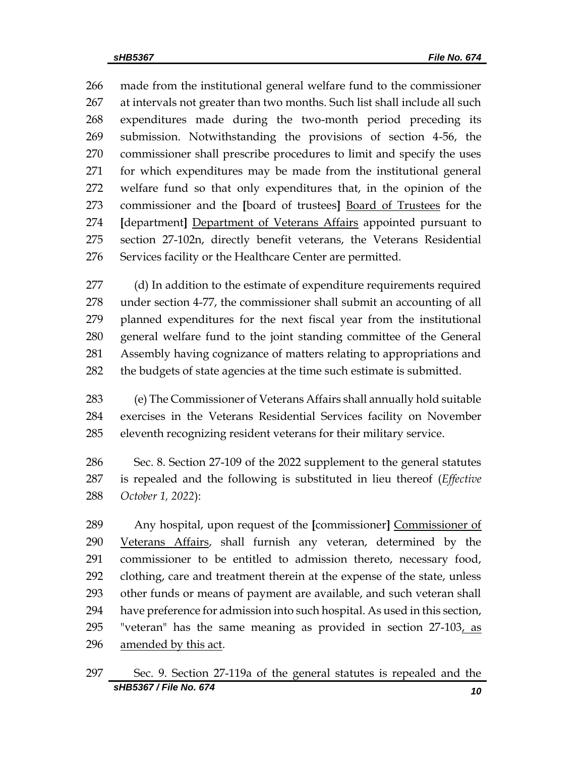made from the institutional general welfare fund to the commissioner at intervals not greater than two months. Such list shall include all such expenditures made during the two-month period preceding its submission. Notwithstanding the provisions of section 4-56, the commissioner shall prescribe procedures to limit and specify the uses for which expenditures may be made from the institutional general welfare fund so that only expenditures that, in the opinion of the commissioner and the **[**board of trustees**]** Board of Trustees for the **[**department**]** Department of Veterans Affairs appointed pursuant to section 27-102n, directly benefit veterans, the Veterans Residential Services facility or the Healthcare Center are permitted.

 (d) In addition to the estimate of expenditure requirements required under section 4-77, the commissioner shall submit an accounting of all planned expenditures for the next fiscal year from the institutional general welfare fund to the joint standing committee of the General Assembly having cognizance of matters relating to appropriations and 282 the budgets of state agencies at the time such estimate is submitted.

 (e) The Commissioner of Veterans Affairs shall annually hold suitable exercises in the Veterans Residential Services facility on November eleventh recognizing resident veterans for their military service.

 Sec. 8. Section 27-109 of the 2022 supplement to the general statutes is repealed and the following is substituted in lieu thereof (*Effective October 1, 2022*):

 Any hospital, upon request of the **[**commissioner**]** Commissioner of Veterans Affairs, shall furnish any veteran, determined by the commissioner to be entitled to admission thereto, necessary food, clothing, care and treatment therein at the expense of the state, unless other funds or means of payment are available, and such veteran shall have preference for admission into such hospital. As used in this section, 295 "veteran" has the same meaning as provided in section  $27-103$ , as 296 amended by this act.

*sHB5367 / File No. 674 10* Sec. 9. Section 27-119a of the general statutes is repealed and the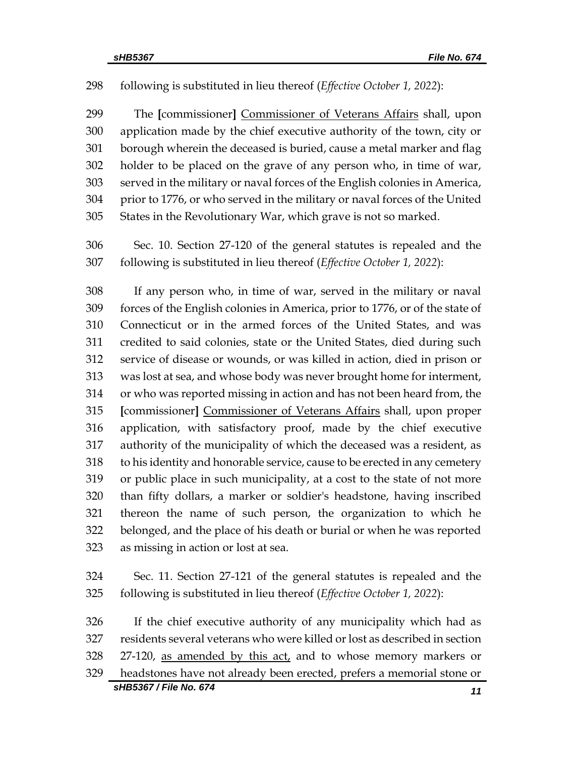#### following is substituted in lieu thereof (*Effective October 1, 2022*):

 The **[**commissioner**]** Commissioner of Veterans Affairs shall, upon application made by the chief executive authority of the town, city or borough wherein the deceased is buried, cause a metal marker and flag holder to be placed on the grave of any person who, in time of war, served in the military or naval forces of the English colonies in America, prior to 1776, or who served in the military or naval forces of the United States in the Revolutionary War, which grave is not so marked.

 Sec. 10. Section 27-120 of the general statutes is repealed and the following is substituted in lieu thereof (*Effective October 1, 2022*):

 If any person who, in time of war, served in the military or naval forces of the English colonies in America, prior to 1776, or of the state of Connecticut or in the armed forces of the United States, and was credited to said colonies, state or the United States, died during such service of disease or wounds, or was killed in action, died in prison or was lost at sea, and whose body was never brought home for interment, or who was reported missing in action and has not been heard from, the **[**commissioner**]** Commissioner of Veterans Affairs shall, upon proper application, with satisfactory proof, made by the chief executive authority of the municipality of which the deceased was a resident, as to his identity and honorable service, cause to be erected in any cemetery or public place in such municipality, at a cost to the state of not more than fifty dollars, a marker or soldier's headstone, having inscribed thereon the name of such person, the organization to which he belonged, and the place of his death or burial or when he was reported as missing in action or lost at sea.

 Sec. 11. Section 27-121 of the general statutes is repealed and the following is substituted in lieu thereof (*Effective October 1, 2022*):

 If the chief executive authority of any municipality which had as residents several veterans who were killed or lost as described in section 328 27-120, as amended by this act, and to whose memory markers or headstones have not already been erected, prefers a memorial stone or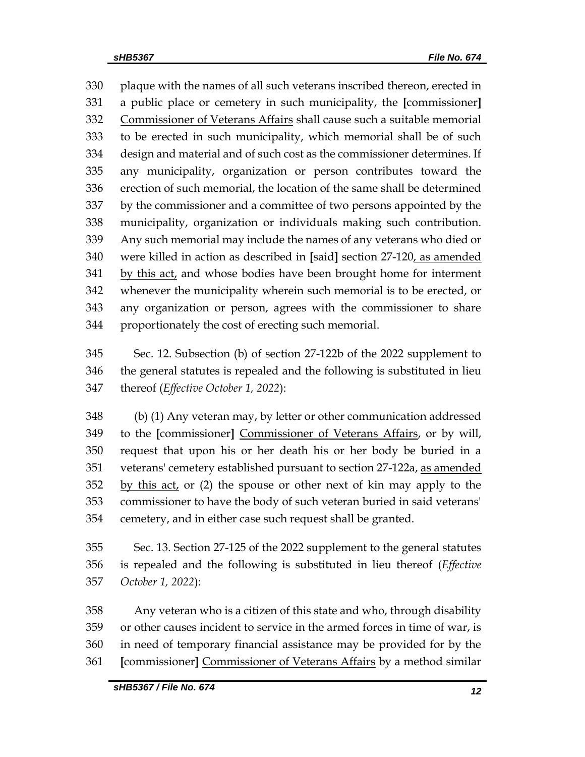plaque with the names of all such veterans inscribed thereon, erected in a public place or cemetery in such municipality, the **[**commissioner**]** Commissioner of Veterans Affairs shall cause such a suitable memorial to be erected in such municipality, which memorial shall be of such design and material and of such cost as the commissioner determines. If any municipality, organization or person contributes toward the erection of such memorial, the location of the same shall be determined by the commissioner and a committee of two persons appointed by the municipality, organization or individuals making such contribution. Any such memorial may include the names of any veterans who died or were killed in action as described in **[**said**]** section 27-120, as amended by this act, and whose bodies have been brought home for interment whenever the municipality wherein such memorial is to be erected, or any organization or person, agrees with the commissioner to share proportionately the cost of erecting such memorial.

 Sec. 12. Subsection (b) of section 27-122b of the 2022 supplement to the general statutes is repealed and the following is substituted in lieu thereof (*Effective October 1, 2022*):

 (b) (1) Any veteran may, by letter or other communication addressed to the **[**commissioner**]** Commissioner of Veterans Affairs, or by will, request that upon his or her death his or her body be buried in a veterans' cemetery established pursuant to section 27-122a, as amended 352 by this act, or (2) the spouse or other next of kin may apply to the commissioner to have the body of such veteran buried in said veterans' cemetery, and in either case such request shall be granted.

 Sec. 13. Section 27-125 of the 2022 supplement to the general statutes is repealed and the following is substituted in lieu thereof (*Effective October 1, 2022*):

 Any veteran who is a citizen of this state and who, through disability or other causes incident to service in the armed forces in time of war, is in need of temporary financial assistance may be provided for by the **[**commissioner**]** Commissioner of Veterans Affairs by a method similar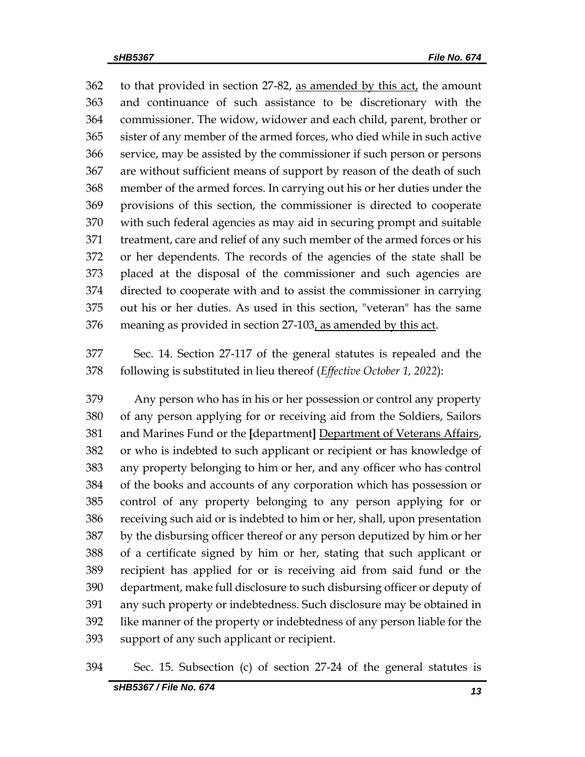362 to that provided in section 27-82, as amended by this act, the amount and continuance of such assistance to be discretionary with the commissioner. The widow, widower and each child, parent, brother or sister of any member of the armed forces, who died while in such active service, may be assisted by the commissioner if such person or persons are without sufficient means of support by reason of the death of such member of the armed forces. In carrying out his or her duties under the provisions of this section, the commissioner is directed to cooperate with such federal agencies as may aid in securing prompt and suitable treatment, care and relief of any such member of the armed forces or his or her dependents. The records of the agencies of the state shall be placed at the disposal of the commissioner and such agencies are directed to cooperate with and to assist the commissioner in carrying out his or her duties. As used in this section, "veteran" has the same 376 meaning as provided in section 27-103, as amended by this act.

 Sec. 14. Section 27-117 of the general statutes is repealed and the following is substituted in lieu thereof (*Effective October 1, 2022*):

 Any person who has in his or her possession or control any property of any person applying for or receiving aid from the Soldiers, Sailors and Marines Fund or the **[**department**]** Department of Veterans Affairs, or who is indebted to such applicant or recipient or has knowledge of any property belonging to him or her, and any officer who has control of the books and accounts of any corporation which has possession or control of any property belonging to any person applying for or receiving such aid or is indebted to him or her, shall, upon presentation by the disbursing officer thereof or any person deputized by him or her of a certificate signed by him or her, stating that such applicant or recipient has applied for or is receiving aid from said fund or the department, make full disclosure to such disbursing officer or deputy of any such property or indebtedness. Such disclosure may be obtained in like manner of the property or indebtedness of any person liable for the support of any such applicant or recipient.

#### Sec. 15. Subsection (c) of section 27-24 of the general statutes is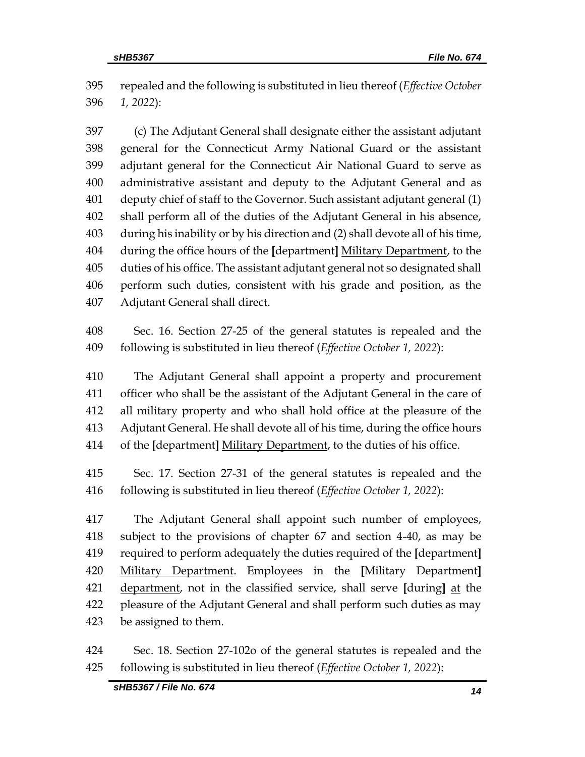repealed and the following is substituted in lieu thereof (*Effective October 1, 2022*):

 (c) The Adjutant General shall designate either the assistant adjutant general for the Connecticut Army National Guard or the assistant adjutant general for the Connecticut Air National Guard to serve as administrative assistant and deputy to the Adjutant General and as deputy chief of staff to the Governor. Such assistant adjutant general (1) shall perform all of the duties of the Adjutant General in his absence, during his inability or by his direction and (2) shall devote all of his time, during the office hours of the **[**department**]** Military Department, to the duties of his office. The assistant adjutant general not so designated shall perform such duties, consistent with his grade and position, as the Adjutant General shall direct.

 Sec. 16. Section 27-25 of the general statutes is repealed and the following is substituted in lieu thereof (*Effective October 1, 2022*):

 The Adjutant General shall appoint a property and procurement officer who shall be the assistant of the Adjutant General in the care of all military property and who shall hold office at the pleasure of the Adjutant General. He shall devote all of his time, during the office hours of the **[**department**]** Military Department, to the duties of his office.

 Sec. 17. Section 27-31 of the general statutes is repealed and the following is substituted in lieu thereof (*Effective October 1, 2022*):

 The Adjutant General shall appoint such number of employees, subject to the provisions of chapter 67 and section 4-40, as may be required to perform adequately the duties required of the **[**department**]** Military Department. Employees in the **[**Military Department**]** department, not in the classified service, shall serve **[**during**]** at the pleasure of the Adjutant General and shall perform such duties as may be assigned to them.

 Sec. 18. Section 27-102o of the general statutes is repealed and the following is substituted in lieu thereof (*Effective October 1, 2022*):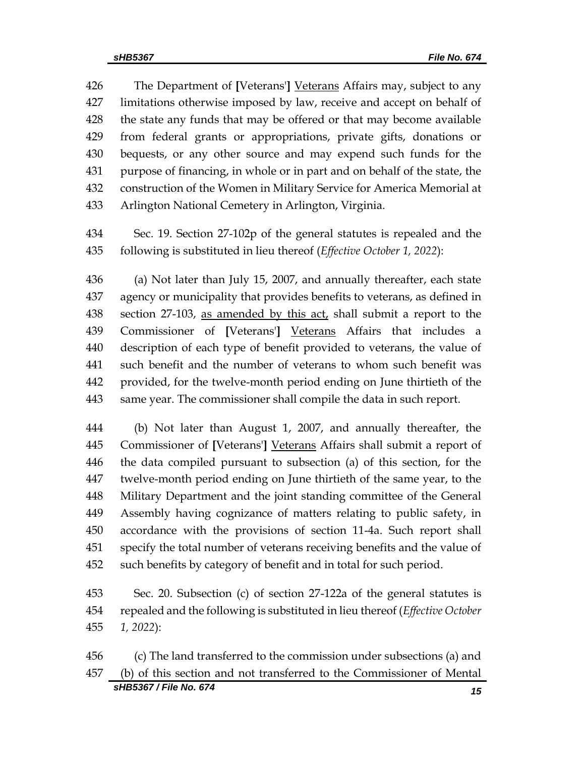The Department of **[**Veterans'**]** Veterans Affairs may, subject to any limitations otherwise imposed by law, receive and accept on behalf of the state any funds that may be offered or that may become available from federal grants or appropriations, private gifts, donations or bequests, or any other source and may expend such funds for the purpose of financing, in whole or in part and on behalf of the state, the construction of the Women in Military Service for America Memorial at Arlington National Cemetery in Arlington, Virginia.

 Sec. 19. Section 27-102p of the general statutes is repealed and the following is substituted in lieu thereof (*Effective October 1, 2022*):

 (a) Not later than July 15, 2007, and annually thereafter, each state agency or municipality that provides benefits to veterans, as defined in 438 section 27-103, as amended by this act, shall submit a report to the Commissioner of **[**Veterans'**]** Veterans Affairs that includes a description of each type of benefit provided to veterans, the value of such benefit and the number of veterans to whom such benefit was provided, for the twelve-month period ending on June thirtieth of the same year. The commissioner shall compile the data in such report.

 (b) Not later than August 1, 2007, and annually thereafter, the Commissioner of **[**Veterans'**]** Veterans Affairs shall submit a report of the data compiled pursuant to subsection (a) of this section, for the twelve-month period ending on June thirtieth of the same year, to the Military Department and the joint standing committee of the General Assembly having cognizance of matters relating to public safety, in accordance with the provisions of section 11-4a. Such report shall specify the total number of veterans receiving benefits and the value of such benefits by category of benefit and in total for such period.

 Sec. 20. Subsection (c) of section 27-122a of the general statutes is repealed and the following is substituted in lieu thereof (*Effective October 1, 2022*):

*sHB5367 / File No. 674 15* (c) The land transferred to the commission under subsections (a) and (b) of this section and not transferred to the Commissioner of Mental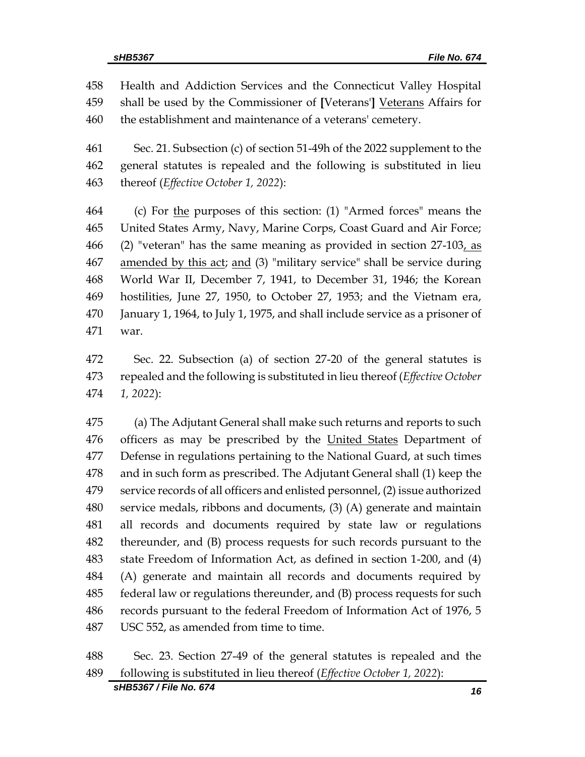Health and Addiction Services and the Connecticut Valley Hospital shall be used by the Commissioner of **[**Veterans'**]** Veterans Affairs for the establishment and maintenance of a veterans' cemetery.

 Sec. 21. Subsection (c) of section 51-49h of the 2022 supplement to the general statutes is repealed and the following is substituted in lieu thereof (*Effective October 1, 2022*):

 (c) For the purposes of this section: (1) "Armed forces" means the United States Army, Navy, Marine Corps, Coast Guard and Air Force; 466 (2) "veteran" has the same meaning as provided in section  $27-103$ , as 467 amended by this act; and (3) "military service" shall be service during World War II, December 7, 1941, to December 31, 1946; the Korean hostilities, June 27, 1950, to October 27, 1953; and the Vietnam era, January 1, 1964, to July 1, 1975, and shall include service as a prisoner of war.

 Sec. 22. Subsection (a) of section 27-20 of the general statutes is repealed and the following is substituted in lieu thereof (*Effective October 1, 2022*):

 (a) The Adjutant General shall make such returns and reports to such 476 officers as may be prescribed by the United States Department of Defense in regulations pertaining to the National Guard, at such times and in such form as prescribed. The Adjutant General shall (1) keep the service records of all officers and enlisted personnel, (2) issue authorized service medals, ribbons and documents, (3) (A) generate and maintain all records and documents required by state law or regulations thereunder, and (B) process requests for such records pursuant to the state Freedom of Information Act, as defined in section 1-200, and (4) (A) generate and maintain all records and documents required by federal law or regulations thereunder, and (B) process requests for such records pursuant to the federal Freedom of Information Act of 1976, 5 USC 552, as amended from time to time.

 Sec. 23. Section 27-49 of the general statutes is repealed and the following is substituted in lieu thereof (*Effective October 1, 2022*):

*sHB5367 / File No. 674 16*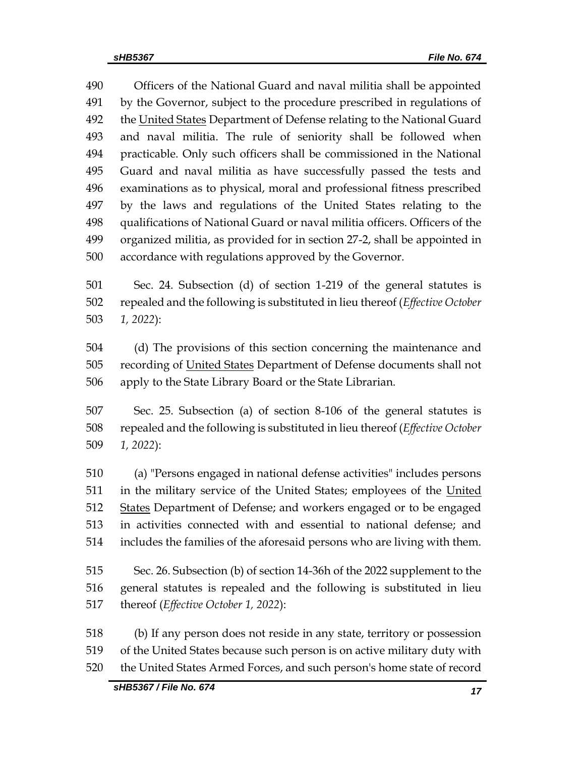Officers of the National Guard and naval militia shall be appointed by the Governor, subject to the procedure prescribed in regulations of 492 the United States Department of Defense relating to the National Guard and naval militia. The rule of seniority shall be followed when practicable. Only such officers shall be commissioned in the National Guard and naval militia as have successfully passed the tests and examinations as to physical, moral and professional fitness prescribed by the laws and regulations of the United States relating to the qualifications of National Guard or naval militia officers. Officers of the organized militia, as provided for in section 27-2, shall be appointed in accordance with regulations approved by the Governor.

 Sec. 24. Subsection (d) of section 1-219 of the general statutes is repealed and the following is substituted in lieu thereof (*Effective October 1, 2022*):

 (d) The provisions of this section concerning the maintenance and 505 recording of United States Department of Defense documents shall not apply to the State Library Board or the State Librarian.

 Sec. 25. Subsection (a) of section 8-106 of the general statutes is repealed and the following is substituted in lieu thereof (*Effective October 1, 2022*):

 (a) "Persons engaged in national defense activities" includes persons in the military service of the United States; employees of the United 512 States Department of Defense; and workers engaged or to be engaged in activities connected with and essential to national defense; and includes the families of the aforesaid persons who are living with them.

 Sec. 26. Subsection (b) of section 14-36h of the 2022 supplement to the general statutes is repealed and the following is substituted in lieu thereof (*Effective October 1, 2022*):

 (b) If any person does not reside in any state, territory or possession of the United States because such person is on active military duty with the United States Armed Forces, and such person's home state of record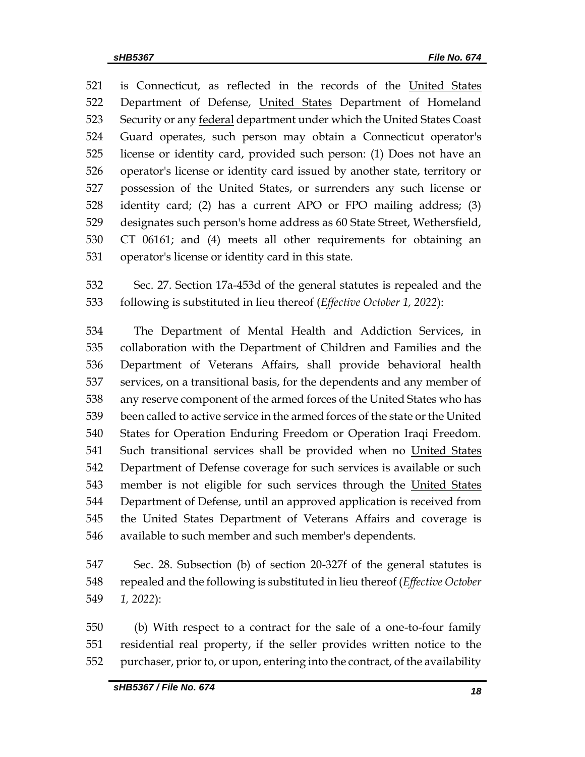521 is Connecticut, as reflected in the records of the United States 522 Department of Defense, United States Department of Homeland 523 Security or any federal department under which the United States Coast Guard operates, such person may obtain a Connecticut operator's license or identity card, provided such person: (1) Does not have an operator's license or identity card issued by another state, territory or possession of the United States, or surrenders any such license or identity card; (2) has a current APO or FPO mailing address; (3) designates such person's home address as 60 State Street, Wethersfield, CT 06161; and (4) meets all other requirements for obtaining an operator's license or identity card in this state.

 Sec. 27. Section 17a-453d of the general statutes is repealed and the following is substituted in lieu thereof (*Effective October 1, 2022*):

 The Department of Mental Health and Addiction Services, in collaboration with the Department of Children and Families and the Department of Veterans Affairs, shall provide behavioral health services, on a transitional basis, for the dependents and any member of any reserve component of the armed forces of the United States who has been called to active service in the armed forces of the state or the United States for Operation Enduring Freedom or Operation Iraqi Freedom. 541 Such transitional services shall be provided when no United States Department of Defense coverage for such services is available or such 543 member is not eligible for such services through the United States Department of Defense, until an approved application is received from the United States Department of Veterans Affairs and coverage is available to such member and such member's dependents.

 Sec. 28. Subsection (b) of section 20-327f of the general statutes is repealed and the following is substituted in lieu thereof (*Effective October 1, 2022*):

 (b) With respect to a contract for the sale of a one-to-four family residential real property, if the seller provides written notice to the purchaser, prior to, or upon, entering into the contract, of the availability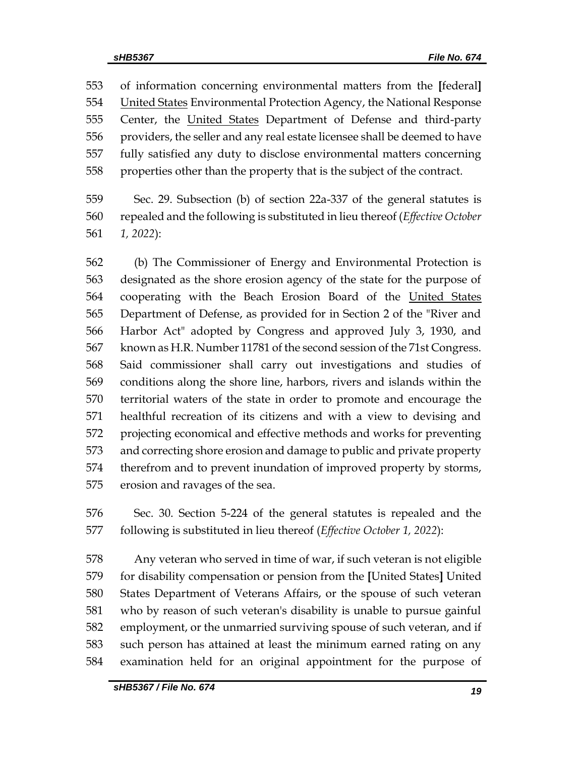of information concerning environmental matters from the **[**federal**]** 554 United States Environmental Protection Agency, the National Response 555 Center, the United States Department of Defense and third-party providers, the seller and any real estate licensee shall be deemed to have fully satisfied any duty to disclose environmental matters concerning properties other than the property that is the subject of the contract.

 Sec. 29. Subsection (b) of section 22a-337 of the general statutes is repealed and the following is substituted in lieu thereof (*Effective October 1, 2022*):

 (b) The Commissioner of Energy and Environmental Protection is designated as the shore erosion agency of the state for the purpose of cooperating with the Beach Erosion Board of the United States Department of Defense, as provided for in Section 2 of the "River and Harbor Act" adopted by Congress and approved July 3, 1930, and known as H.R. Number 11781 of the second session of the 71st Congress. Said commissioner shall carry out investigations and studies of conditions along the shore line, harbors, rivers and islands within the territorial waters of the state in order to promote and encourage the healthful recreation of its citizens and with a view to devising and projecting economical and effective methods and works for preventing and correcting shore erosion and damage to public and private property therefrom and to prevent inundation of improved property by storms, erosion and ravages of the sea.

 Sec. 30. Section 5-224 of the general statutes is repealed and the following is substituted in lieu thereof (*Effective October 1, 2022*):

 Any veteran who served in time of war, if such veteran is not eligible for disability compensation or pension from the **[**United States**]** United States Department of Veterans Affairs, or the spouse of such veteran who by reason of such veteran's disability is unable to pursue gainful employment, or the unmarried surviving spouse of such veteran, and if such person has attained at least the minimum earned rating on any examination held for an original appointment for the purpose of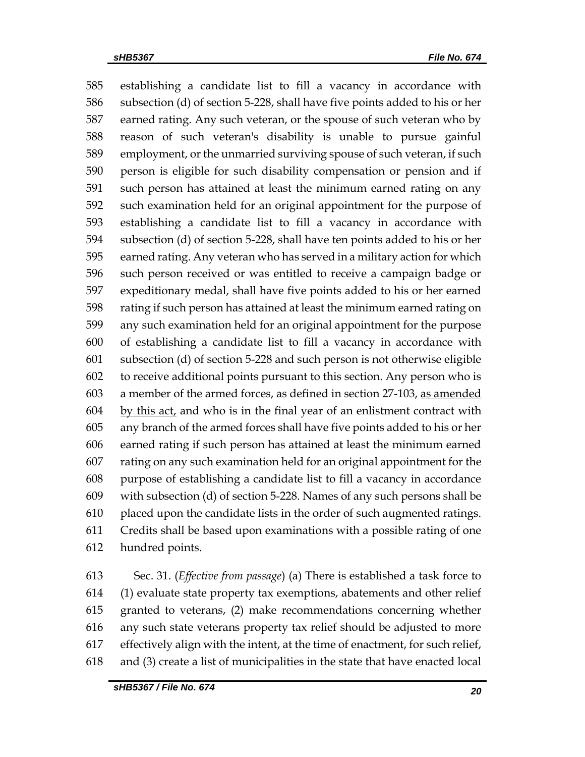establishing a candidate list to fill a vacancy in accordance with subsection (d) of section 5-228, shall have five points added to his or her earned rating. Any such veteran, or the spouse of such veteran who by reason of such veteran's disability is unable to pursue gainful employment, or the unmarried surviving spouse of such veteran, if such person is eligible for such disability compensation or pension and if such person has attained at least the minimum earned rating on any such examination held for an original appointment for the purpose of establishing a candidate list to fill a vacancy in accordance with subsection (d) of section 5-228, shall have ten points added to his or her earned rating. Any veteran who has served in a military action for which such person received or was entitled to receive a campaign badge or expeditionary medal, shall have five points added to his or her earned rating if such person has attained at least the minimum earned rating on any such examination held for an original appointment for the purpose of establishing a candidate list to fill a vacancy in accordance with subsection (d) of section 5-228 and such person is not otherwise eligible to receive additional points pursuant to this section. Any person who is 603 a member of the armed forces, as defined in section 27-103, as amended by this act, and who is in the final year of an enlistment contract with any branch of the armed forces shall have five points added to his or her earned rating if such person has attained at least the minimum earned rating on any such examination held for an original appointment for the purpose of establishing a candidate list to fill a vacancy in accordance with subsection (d) of section 5-228. Names of any such persons shall be placed upon the candidate lists in the order of such augmented ratings. Credits shall be based upon examinations with a possible rating of one hundred points.

 Sec. 31. (*Effective from passage*) (a) There is established a task force to (1) evaluate state property tax exemptions, abatements and other relief granted to veterans, (2) make recommendations concerning whether any such state veterans property tax relief should be adjusted to more effectively align with the intent, at the time of enactment, for such relief, and (3) create a list of municipalities in the state that have enacted local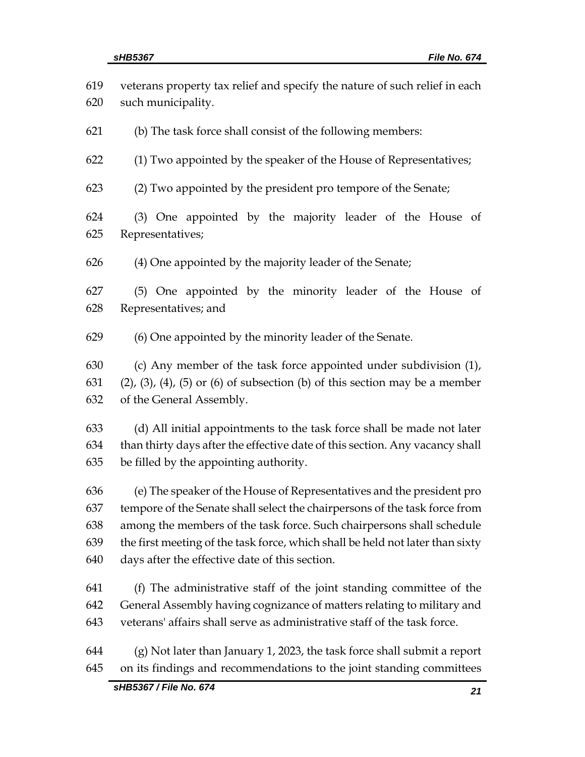| 619 | veterans property tax relief and specify the nature of such relief in each                 |  |  |  |  |
|-----|--------------------------------------------------------------------------------------------|--|--|--|--|
| 620 | such municipality.                                                                         |  |  |  |  |
| 621 | (b) The task force shall consist of the following members:                                 |  |  |  |  |
| 622 | (1) Two appointed by the speaker of the House of Representatives;                          |  |  |  |  |
| 623 | (2) Two appointed by the president pro tempore of the Senate;                              |  |  |  |  |
| 624 | (3) One appointed by the majority leader of the House of                                   |  |  |  |  |
| 625 | Representatives;                                                                           |  |  |  |  |
| 626 | (4) One appointed by the majority leader of the Senate;                                    |  |  |  |  |
| 627 | (5) One appointed by the minority leader of the House of                                   |  |  |  |  |
| 628 | Representatives; and                                                                       |  |  |  |  |
| 629 | (6) One appointed by the minority leader of the Senate.                                    |  |  |  |  |
| 630 | (c) Any member of the task force appointed under subdivision (1),                          |  |  |  |  |
| 631 | $(2)$ , $(3)$ , $(4)$ , $(5)$ or $(6)$ of subsection $(b)$ of this section may be a member |  |  |  |  |
| 632 | of the General Assembly.                                                                   |  |  |  |  |
| 633 | (d) All initial appointments to the task force shall be made not later                     |  |  |  |  |
| 634 | than thirty days after the effective date of this section. Any vacancy shall               |  |  |  |  |
| 635 | be filled by the appointing authority.                                                     |  |  |  |  |
| 636 | (e) The speaker of the House of Representatives and the president pro                      |  |  |  |  |
| 637 | tempore of the Senate shall select the chairpersons of the task force from                 |  |  |  |  |
| 638 | among the members of the task force. Such chairpersons shall schedule                      |  |  |  |  |
| 639 | the first meeting of the task force, which shall be held not later than sixty              |  |  |  |  |
| 640 | days after the effective date of this section.                                             |  |  |  |  |
| 641 | (f) The administrative staff of the joint standing committee of the                        |  |  |  |  |
| 642 | General Assembly having cognizance of matters relating to military and                     |  |  |  |  |
| 643 | veterans' affairs shall serve as administrative staff of the task force.                   |  |  |  |  |
| 644 | $(g)$ Not later than January 1, 2023, the task force shall submit a report                 |  |  |  |  |
| 645 | on its findings and recommendations to the joint standing committees                       |  |  |  |  |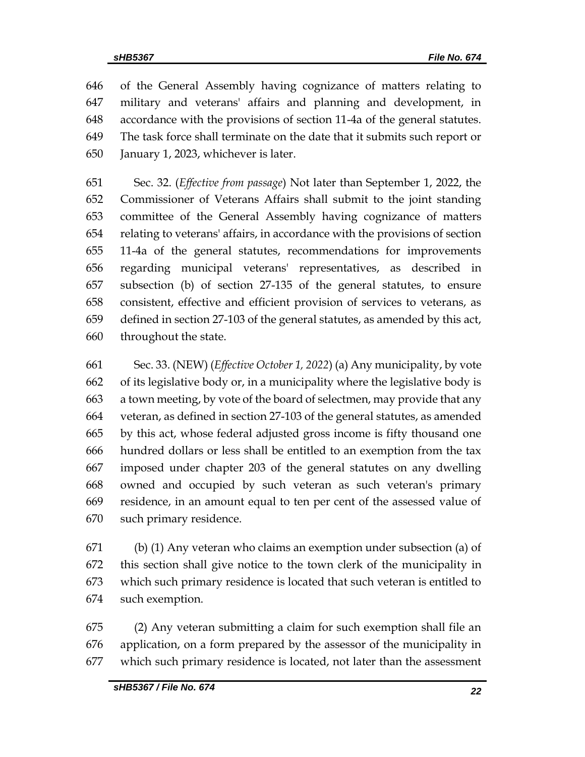of the General Assembly having cognizance of matters relating to military and veterans' affairs and planning and development, in accordance with the provisions of section 11-4a of the general statutes. The task force shall terminate on the date that it submits such report or January 1, 2023, whichever is later.

 Sec. 32. (*Effective from passage*) Not later than September 1, 2022, the Commissioner of Veterans Affairs shall submit to the joint standing committee of the General Assembly having cognizance of matters relating to veterans' affairs, in accordance with the provisions of section 11-4a of the general statutes, recommendations for improvements regarding municipal veterans' representatives, as described in subsection (b) of section 27-135 of the general statutes, to ensure consistent, effective and efficient provision of services to veterans, as defined in section 27-103 of the general statutes, as amended by this act, throughout the state.

 Sec. 33. (NEW) (*Effective October 1, 2022*) (a) Any municipality, by vote of its legislative body or, in a municipality where the legislative body is a town meeting, by vote of the board of selectmen, may provide that any veteran, as defined in section 27-103 of the general statutes, as amended by this act, whose federal adjusted gross income is fifty thousand one hundred dollars or less shall be entitled to an exemption from the tax imposed under chapter 203 of the general statutes on any dwelling owned and occupied by such veteran as such veteran's primary residence, in an amount equal to ten per cent of the assessed value of such primary residence.

 (b) (1) Any veteran who claims an exemption under subsection (a) of this section shall give notice to the town clerk of the municipality in which such primary residence is located that such veteran is entitled to such exemption.

 (2) Any veteran submitting a claim for such exemption shall file an application, on a form prepared by the assessor of the municipality in which such primary residence is located, not later than the assessment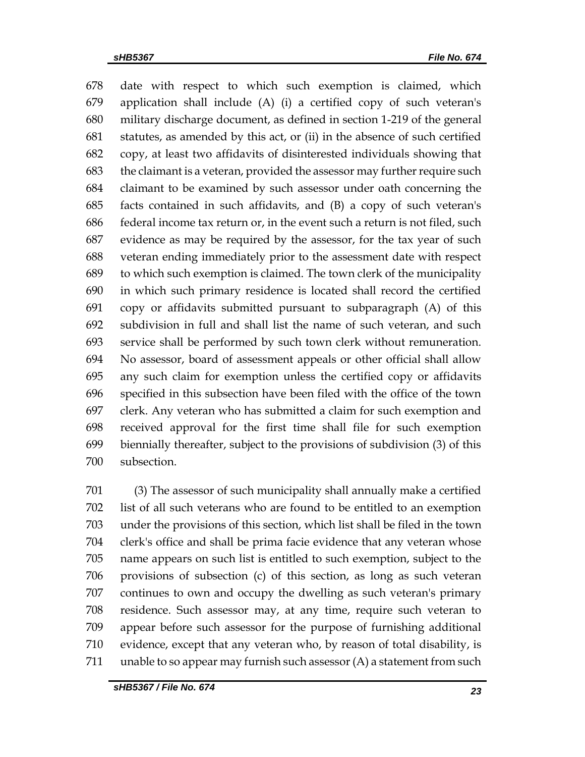date with respect to which such exemption is claimed, which application shall include (A) (i) a certified copy of such veteran's military discharge document, as defined in section 1-219 of the general statutes, as amended by this act, or (ii) in the absence of such certified copy, at least two affidavits of disinterested individuals showing that the claimant is a veteran, provided the assessor may further require such claimant to be examined by such assessor under oath concerning the facts contained in such affidavits, and (B) a copy of such veteran's federal income tax return or, in the event such a return is not filed, such evidence as may be required by the assessor, for the tax year of such veteran ending immediately prior to the assessment date with respect to which such exemption is claimed. The town clerk of the municipality in which such primary residence is located shall record the certified copy or affidavits submitted pursuant to subparagraph (A) of this subdivision in full and shall list the name of such veteran, and such service shall be performed by such town clerk without remuneration. No assessor, board of assessment appeals or other official shall allow any such claim for exemption unless the certified copy or affidavits specified in this subsection have been filed with the office of the town clerk. Any veteran who has submitted a claim for such exemption and received approval for the first time shall file for such exemption biennially thereafter, subject to the provisions of subdivision (3) of this subsection.

 (3) The assessor of such municipality shall annually make a certified list of all such veterans who are found to be entitled to an exemption under the provisions of this section, which list shall be filed in the town clerk's office and shall be prima facie evidence that any veteran whose name appears on such list is entitled to such exemption, subject to the provisions of subsection (c) of this section, as long as such veteran continues to own and occupy the dwelling as such veteran's primary residence. Such assessor may, at any time, require such veteran to appear before such assessor for the purpose of furnishing additional evidence, except that any veteran who, by reason of total disability, is unable to so appear may furnish such assessor (A) a statement from such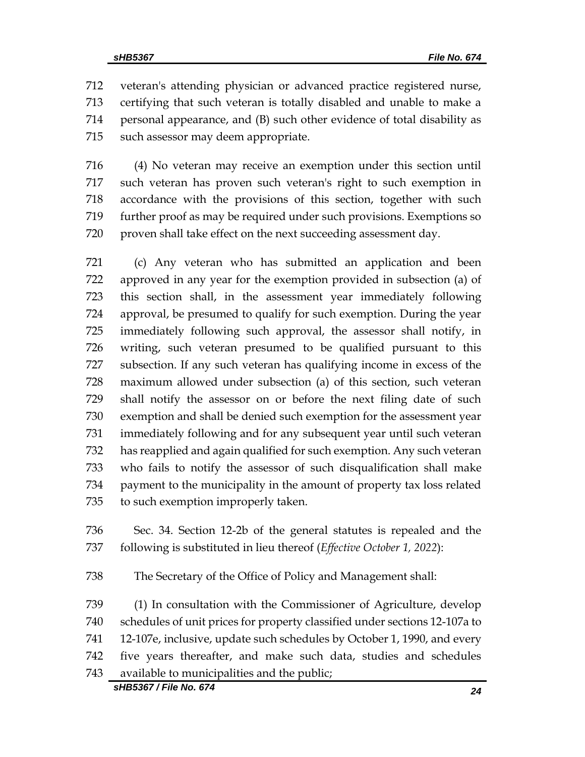veteran's attending physician or advanced practice registered nurse, certifying that such veteran is totally disabled and unable to make a personal appearance, and (B) such other evidence of total disability as such assessor may deem appropriate.

 (4) No veteran may receive an exemption under this section until such veteran has proven such veteran's right to such exemption in accordance with the provisions of this section, together with such further proof as may be required under such provisions. Exemptions so proven shall take effect on the next succeeding assessment day.

 (c) Any veteran who has submitted an application and been approved in any year for the exemption provided in subsection (a) of this section shall, in the assessment year immediately following approval, be presumed to qualify for such exemption. During the year immediately following such approval, the assessor shall notify, in writing, such veteran presumed to be qualified pursuant to this subsection. If any such veteran has qualifying income in excess of the maximum allowed under subsection (a) of this section, such veteran shall notify the assessor on or before the next filing date of such exemption and shall be denied such exemption for the assessment year immediately following and for any subsequent year until such veteran has reapplied and again qualified for such exemption. Any such veteran who fails to notify the assessor of such disqualification shall make payment to the municipality in the amount of property tax loss related to such exemption improperly taken.

 Sec. 34. Section 12-2b of the general statutes is repealed and the following is substituted in lieu thereof (*Effective October 1, 2022*):

The Secretary of the Office of Policy and Management shall:

 (1) In consultation with the Commissioner of Agriculture, develop schedules of unit prices for property classified under sections 12-107a to 12-107e, inclusive, update such schedules by October 1, 1990, and every five years thereafter, and make such data, studies and schedules available to municipalities and the public;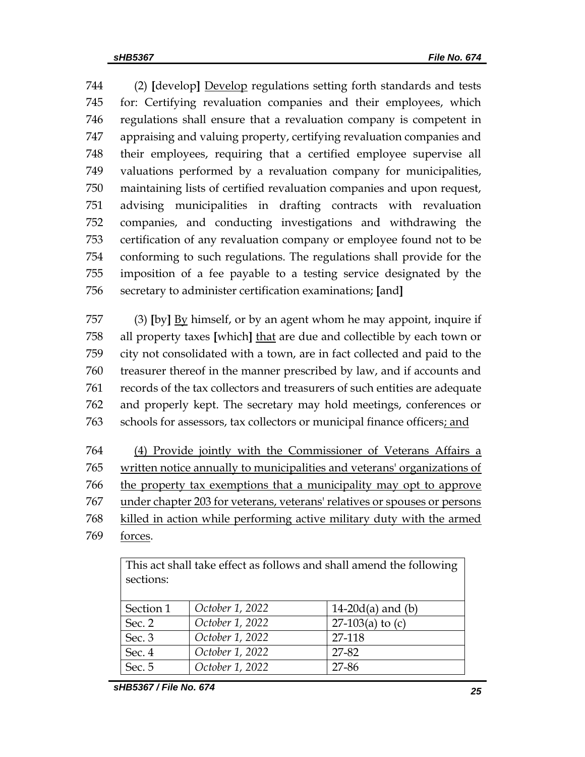(2) **[**develop**]** Develop regulations setting forth standards and tests for: Certifying revaluation companies and their employees, which regulations shall ensure that a revaluation company is competent in appraising and valuing property, certifying revaluation companies and their employees, requiring that a certified employee supervise all valuations performed by a revaluation company for municipalities, maintaining lists of certified revaluation companies and upon request, advising municipalities in drafting contracts with revaluation companies, and conducting investigations and withdrawing the certification of any revaluation company or employee found not to be conforming to such regulations. The regulations shall provide for the imposition of a fee payable to a testing service designated by the secretary to administer certification examinations; **[**and**]**

 (3) **[**by**]** By himself, or by an agent whom he may appoint, inquire if all property taxes **[**which**]** that are due and collectible by each town or city not consolidated with a town, are in fact collected and paid to the treasurer thereof in the manner prescribed by law, and if accounts and records of the tax collectors and treasurers of such entities are adequate and properly kept. The secretary may hold meetings, conferences or schools for assessors, tax collectors or municipal finance officers; and

 (4) Provide jointly with the Commissioner of Veterans Affairs a written notice annually to municipalities and veterans' organizations of the property tax exemptions that a municipality may opt to approve under chapter 203 for veterans, veterans' relatives or spouses or persons killed in action while performing active military duty with the armed

forces.

This act shall take effect as follows and shall amend the following sections:

| Section 1 | October 1, 2022 | 14-20 $d(a)$ and (b) |
|-----------|-----------------|----------------------|
| Sec. 2    | October 1, 2022 | 27-103(a) to $(c)$   |
| Sec. 3    | October 1, 2022 | 27-118               |
| Sec. 4    | October 1, 2022 | 27-82                |
| Sec. 5    | October 1, 2022 | 27-86                |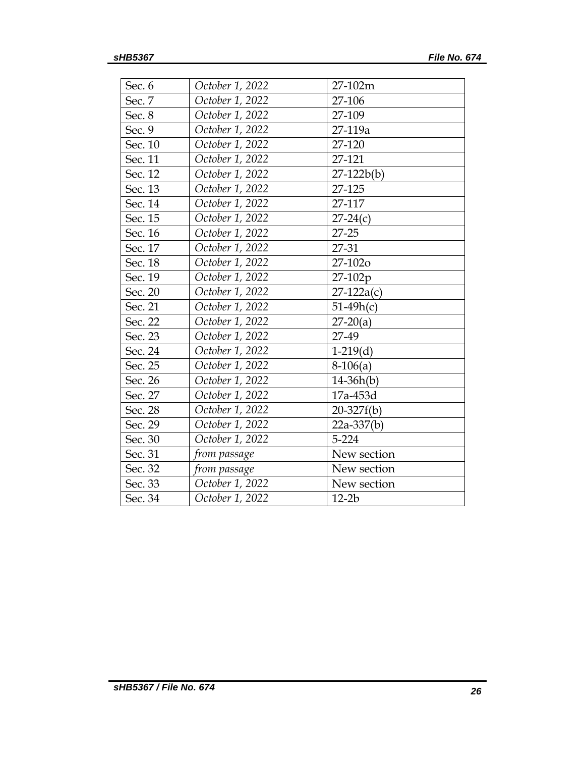| Sec. 6  | October 1, 2022 | 27-102m      |
|---------|-----------------|--------------|
| Sec. 7  | October 1, 2022 | 27-106       |
| Sec. 8  | October 1, 2022 | 27-109       |
| Sec. 9  | October 1, 2022 | 27-119a      |
| Sec. 10 | October 1, 2022 | 27-120       |
| Sec. 11 | October 1, 2022 | 27-121       |
| Sec. 12 | October 1, 2022 | $27-122b(b)$ |
| Sec. 13 | October 1, 2022 | 27-125       |
| Sec. 14 | October 1, 2022 | 27-117       |
| Sec. 15 | October 1, 2022 | $27-24(c)$   |
| Sec. 16 | October 1, 2022 | $27 - 25$    |
| Sec. 17 | October 1, 2022 | 27-31        |
| Sec. 18 | October 1, 2022 | 27-102o      |
| Sec. 19 | October 1, 2022 | 27-102p      |
| Sec. 20 | October 1, 2022 | $27-122a(c)$ |
| Sec. 21 | October 1, 2022 | $51-49h(c)$  |
| Sec. 22 | October 1, 2022 | $27-20(a)$   |
| Sec. 23 | October 1, 2022 | 27-49        |
| Sec. 24 | October 1, 2022 | $1-219(d)$   |
| Sec. 25 | October 1, 2022 | $8-106(a)$   |
| Sec. 26 | October 1, 2022 | $14-36h(b)$  |
| Sec. 27 | October 1, 2022 | 17a-453d     |
| Sec. 28 | October 1, 2022 | $20-327f(b)$ |
| Sec. 29 | October 1, 2022 | $22a-337(b)$ |
| Sec. 30 | October 1, 2022 | 5-224        |
| Sec. 31 | from passage    | New section  |
| Sec. 32 | from passage    | New section  |
| Sec. 33 | October 1, 2022 | New section  |
| Sec. 34 | October 1, 2022 | $12-2b$      |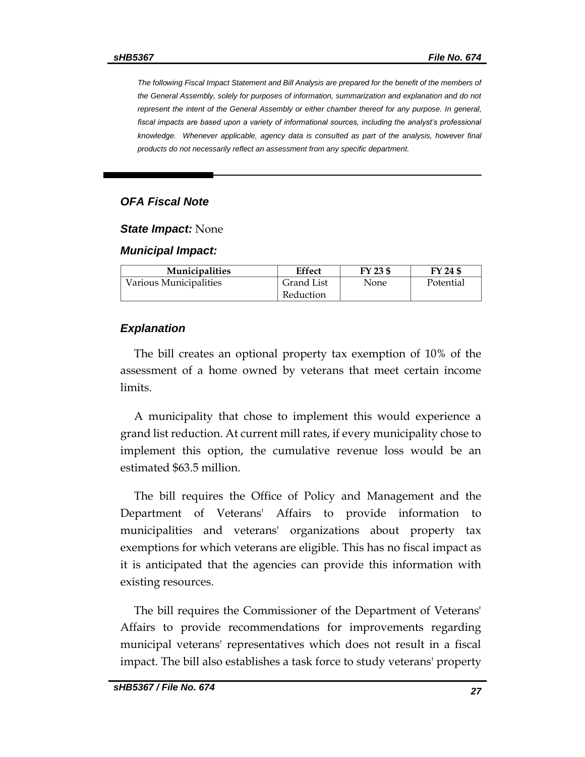*The following Fiscal Impact Statement and Bill Analysis are prepared for the benefit of the members of the General Assembly, solely for purposes of information, summarization and explanation and do not represent the intent of the General Assembly or either chamber thereof for any purpose. In general, fiscal impacts are based upon a variety of informational sources, including the analyst's professional knowledge. Whenever applicable, agency data is consulted as part of the analysis, however final products do not necessarily reflect an assessment from any specific department.*

#### *OFA Fiscal Note*

*State Impact:* None

#### *Municipal Impact:*

| <b>Municipalities</b>  | Effect     | FY 23 \$ | FY 24 \$  |
|------------------------|------------|----------|-----------|
| Various Municipalities | Grand List | None     | Potential |
|                        | Reduction  |          |           |

#### *Explanation*

The bill creates an optional property tax exemption of 10% of the assessment of a home owned by veterans that meet certain income limits.

A municipality that chose to implement this would experience a grand list reduction. At current mill rates, if every municipality chose to implement this option, the cumulative revenue loss would be an estimated \$63.5 million.

The bill requires the Office of Policy and Management and the Department of Veterans' Affairs to provide information to municipalities and veterans' organizations about property tax exemptions for which veterans are eligible. This has no fiscal impact as it is anticipated that the agencies can provide this information with existing resources.

The bill requires the Commissioner of the Department of Veterans' Affairs to provide recommendations for improvements regarding municipal veterans' representatives which does not result in a fiscal impact. The bill also establishes a task force to study veterans' property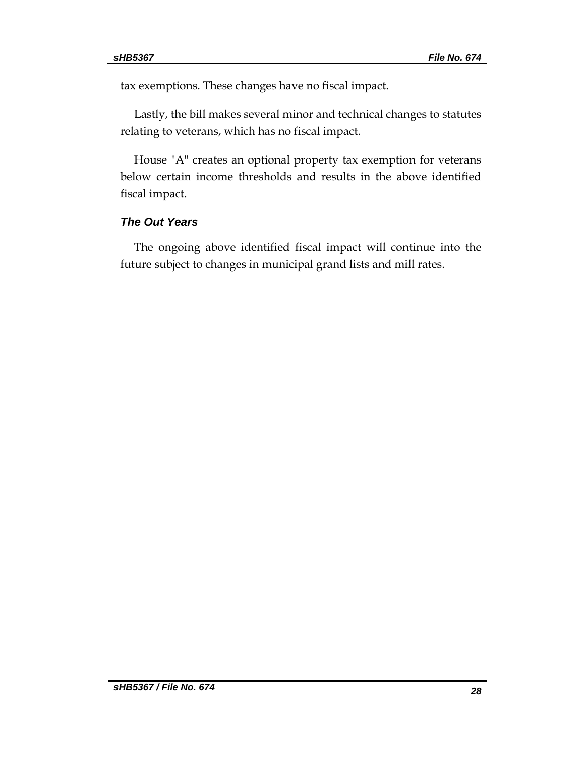tax exemptions. These changes have no fiscal impact.

Lastly, the bill makes several minor and technical changes to statutes relating to veterans, which has no fiscal impact.

House "A" creates an optional property tax exemption for veterans below certain income thresholds and results in the above identified fiscal impact.

#### *The Out Years*

The ongoing above identified fiscal impact will continue into the future subject to changes in municipal grand lists and mill rates.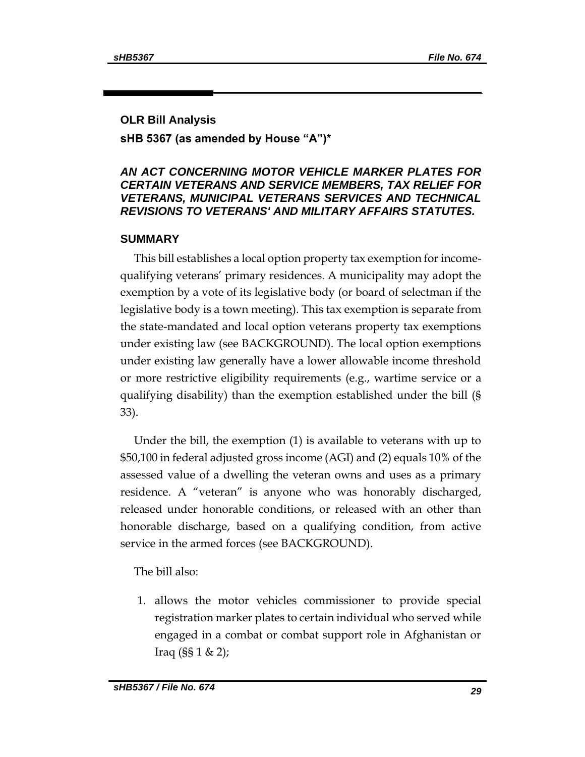#### **OLR Bill Analysis**

## **sHB 5367 (as amended by House "A")\***

## *AN ACT CONCERNING MOTOR VEHICLE MARKER PLATES FOR CERTAIN VETERANS AND SERVICE MEMBERS, TAX RELIEF FOR VETERANS, MUNICIPAL VETERANS SERVICES AND TECHNICAL REVISIONS TO VETERANS' AND MILITARY AFFAIRS STATUTES.*

#### **SUMMARY**

This bill establishes a local option property tax exemption for incomequalifying veterans' primary residences. A municipality may adopt the exemption by a vote of its legislative body (or board of selectman if the legislative body is a town meeting). This tax exemption is separate from the state-mandated and local option veterans property tax exemptions under existing law (see BACKGROUND). The local option exemptions under existing law generally have a lower allowable income threshold or more restrictive eligibility requirements (e.g., wartime service or a qualifying disability) than the exemption established under the bill (§ 33).

Under the bill, the exemption (1) is available to veterans with up to \$50,100 in federal adjusted gross income (AGI) and (2) equals 10% of the assessed value of a dwelling the veteran owns and uses as a primary residence. A "veteran" is anyone who was honorably discharged, released under honorable conditions, or released with an other than honorable discharge, based on a qualifying condition, from active service in the armed forces (see BACKGROUND).

The bill also:

1. allows the motor vehicles commissioner to provide special registration marker plates to certain individual who served while engaged in a combat or combat support role in Afghanistan or Iraq  $(SS 1 & 2)$ ;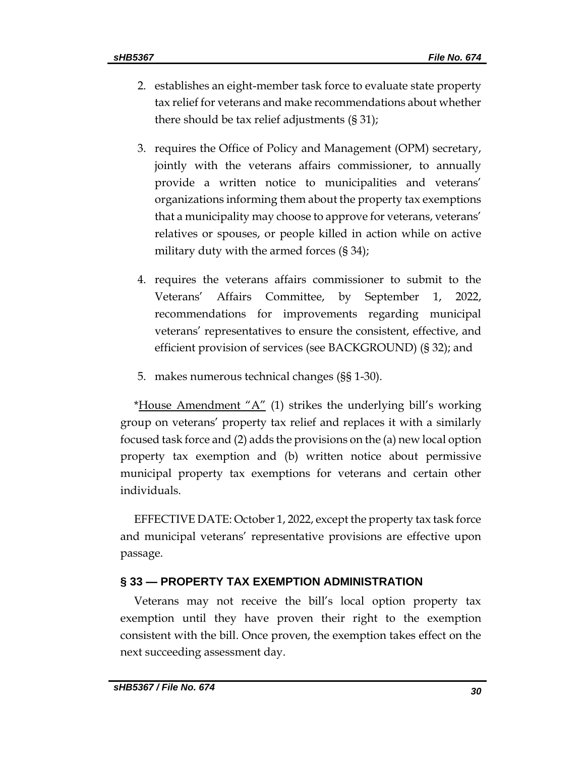- 2. establishes an eight-member task force to evaluate state property tax relief for veterans and make recommendations about whether there should be tax relief adjustments (§ 31);
- 3. requires the Office of Policy and Management (OPM) secretary, jointly with the veterans affairs commissioner, to annually provide a written notice to municipalities and veterans' organizations informing them about the property tax exemptions that a municipality may choose to approve for veterans, veterans' relatives or spouses, or people killed in action while on active military duty with the armed forces (§ 34);
- 4. requires the veterans affairs commissioner to submit to the Veterans' Affairs Committee, by September 1, 2022, recommendations for improvements regarding municipal veterans' representatives to ensure the consistent, effective, and efficient provision of services (see BACKGROUND) (§ 32); and
- 5. makes numerous technical changes (§§ 1-30).

\*House Amendment " $A$ " (1) strikes the underlying bill's working group on veterans' property tax relief and replaces it with a similarly focused task force and (2) adds the provisions on the (a) new local option property tax exemption and (b) written notice about permissive municipal property tax exemptions for veterans and certain other individuals.

EFFECTIVE DATE: October 1, 2022, except the property tax task force and municipal veterans' representative provisions are effective upon passage.

# **§ 33 — PROPERTY TAX EXEMPTION ADMINISTRATION**

Veterans may not receive the bill's local option property tax exemption until they have proven their right to the exemption consistent with the bill. Once proven, the exemption takes effect on the next succeeding assessment day.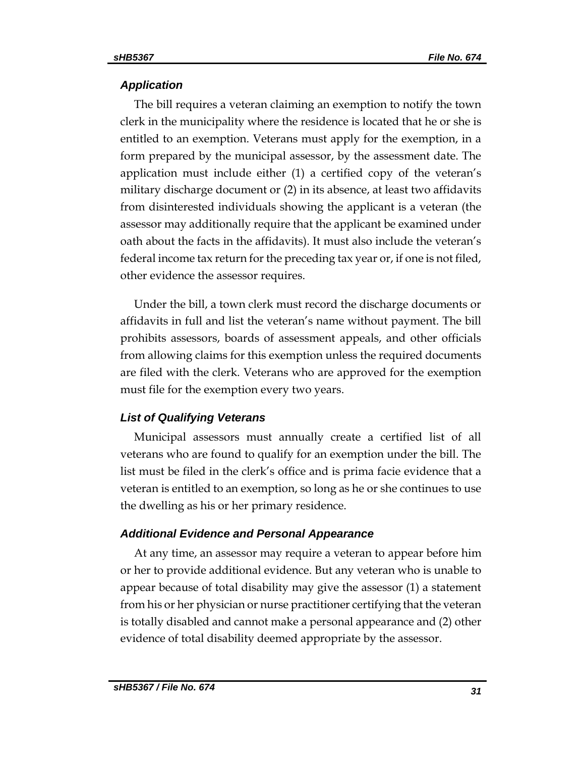## *Application*

The bill requires a veteran claiming an exemption to notify the town clerk in the municipality where the residence is located that he or she is entitled to an exemption. Veterans must apply for the exemption, in a form prepared by the municipal assessor, by the assessment date. The application must include either (1) a certified copy of the veteran's military discharge document or (2) in its absence, at least two affidavits from disinterested individuals showing the applicant is a veteran (the assessor may additionally require that the applicant be examined under oath about the facts in the affidavits). It must also include the veteran's federal income tax return for the preceding tax year or, if one is not filed, other evidence the assessor requires.

Under the bill, a town clerk must record the discharge documents or affidavits in full and list the veteran's name without payment. The bill prohibits assessors, boards of assessment appeals, and other officials from allowing claims for this exemption unless the required documents are filed with the clerk. Veterans who are approved for the exemption must file for the exemption every two years.

## *List of Qualifying Veterans*

Municipal assessors must annually create a certified list of all veterans who are found to qualify for an exemption under the bill. The list must be filed in the clerk's office and is prima facie evidence that a veteran is entitled to an exemption, so long as he or she continues to use the dwelling as his or her primary residence.

## *Additional Evidence and Personal Appearance*

At any time, an assessor may require a veteran to appear before him or her to provide additional evidence. But any veteran who is unable to appear because of total disability may give the assessor (1) a statement from his or her physician or nurse practitioner certifying that the veteran is totally disabled and cannot make a personal appearance and (2) other evidence of total disability deemed appropriate by the assessor.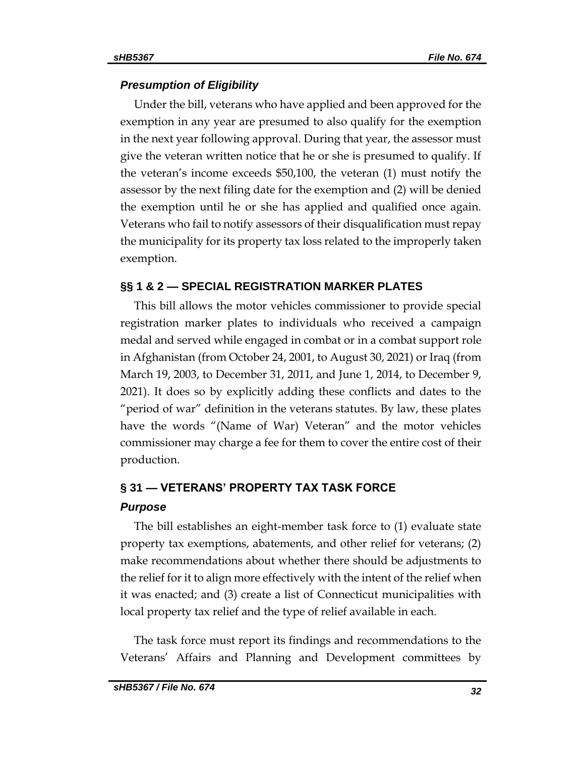## *Presumption of Eligibility*

Under the bill, veterans who have applied and been approved for the exemption in any year are presumed to also qualify for the exemption in the next year following approval. During that year, the assessor must give the veteran written notice that he or she is presumed to qualify. If the veteran's income exceeds \$50,100, the veteran (1) must notify the assessor by the next filing date for the exemption and (2) will be denied the exemption until he or she has applied and qualified once again. Veterans who fail to notify assessors of their disqualification must repay the municipality for its property tax loss related to the improperly taken exemption.

## **§§ 1 & 2 — SPECIAL REGISTRATION MARKER PLATES**

This bill allows the motor vehicles commissioner to provide special registration marker plates to individuals who received a campaign medal and served while engaged in combat or in a combat support role in Afghanistan (from October 24, 2001, to August 30, 2021) or Iraq (from March 19, 2003, to December 31, 2011, and June 1, 2014, to December 9, 2021). It does so by explicitly adding these conflicts and dates to the "period of war" definition in the veterans statutes. By law, these plates have the words "(Name of War) Veteran" and the motor vehicles commissioner may charge a fee for them to cover the entire cost of their production.

# **§ 31 — VETERANS' PROPERTY TAX TASK FORCE** *Purpose*

The bill establishes an eight-member task force to (1) evaluate state property tax exemptions, abatements, and other relief for veterans; (2) make recommendations about whether there should be adjustments to the relief for it to align more effectively with the intent of the relief when it was enacted; and (3) create a list of Connecticut municipalities with local property tax relief and the type of relief available in each.

The task force must report its findings and recommendations to the Veterans' Affairs and Planning and Development committees by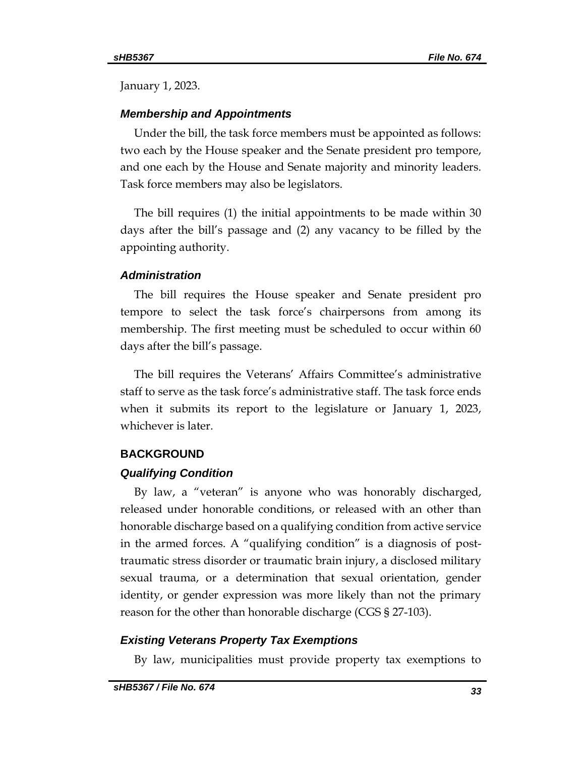January 1, 2023.

## *Membership and Appointments*

Under the bill, the task force members must be appointed as follows: two each by the House speaker and the Senate president pro tempore, and one each by the House and Senate majority and minority leaders. Task force members may also be legislators.

The bill requires (1) the initial appointments to be made within 30 days after the bill's passage and (2) any vacancy to be filled by the appointing authority.

## *Administration*

The bill requires the House speaker and Senate president pro tempore to select the task force's chairpersons from among its membership. The first meeting must be scheduled to occur within 60 days after the bill's passage.

The bill requires the Veterans' Affairs Committee's administrative staff to serve as the task force's administrative staff. The task force ends when it submits its report to the legislature or January 1, 2023, whichever is later.

## **BACKGROUND**

## *Qualifying Condition*

By law, a "veteran" is anyone who was honorably discharged, released under honorable conditions, or released with an other than honorable discharge based on a qualifying condition from active service in the armed forces. A "qualifying condition" is a diagnosis of posttraumatic stress disorder or traumatic brain injury, a disclosed military sexual trauma, or a determination that sexual orientation, gender identity, or gender expression was more likely than not the primary reason for the other than honorable discharge (CGS § 27-103).

## *Existing Veterans Property Tax Exemptions*

By law, municipalities must provide property tax exemptions to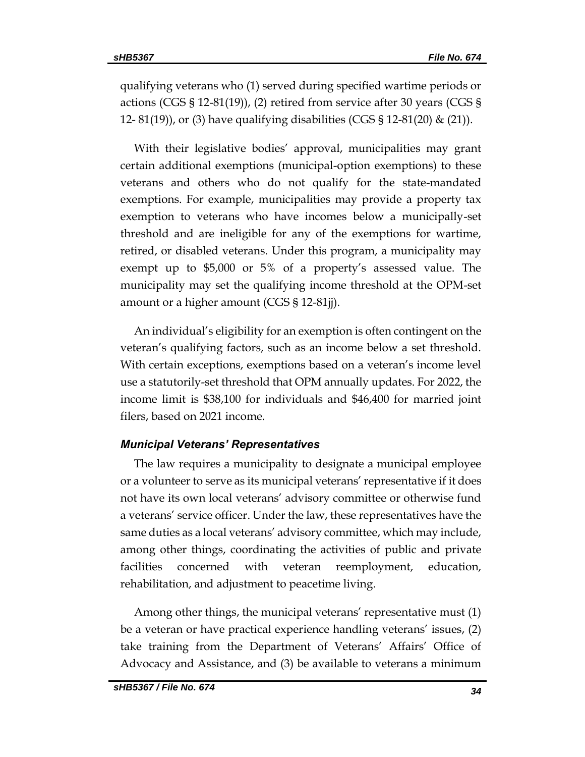qualifying veterans who (1) served during specified wartime periods or actions (CGS § 12-81(19)), (2) retired from service after 30 years (CGS § 12- 81(19)), or (3) have qualifying disabilities (CGS § 12-81(20) & (21)).

With their legislative bodies' approval, municipalities may grant certain additional exemptions (municipal-option exemptions) to these veterans and others who do not qualify for the state-mandated exemptions. For example, municipalities may provide a property tax exemption to veterans who have incomes below a municipally-set threshold and are ineligible for any of the exemptions for wartime, retired, or disabled veterans. Under this program, a municipality may exempt up to \$5,000 or 5% of a property's assessed value. The municipality may set the qualifying income threshold at the OPM-set amount or a higher amount (CGS § 12-81jj).

An individual's eligibility for an exemption is often contingent on the veteran's qualifying factors, such as an income below a set threshold. With certain exceptions, exemptions based on a veteran's income level use a statutorily-set threshold that OPM annually updates. For 2022, the income limit is \$38,100 for individuals and \$46,400 for married joint filers, based on 2021 income.

#### *Municipal Veterans' Representatives*

The law requires a municipality to designate a municipal employee or a volunteer to serve as its municipal veterans' representative if it does not have its own local veterans' advisory committee or otherwise fund a veterans' service officer. Under the law, these representatives have the same duties as a local veterans' advisory committee, which may include, among other things, coordinating the activities of public and private facilities concerned with veteran reemployment, education, rehabilitation, and adjustment to peacetime living.

Among other things, the municipal veterans' representative must (1) be a veteran or have practical experience handling veterans' issues, (2) take training from the Department of Veterans' Affairs' Office of Advocacy and Assistance, and (3) be available to veterans a minimum